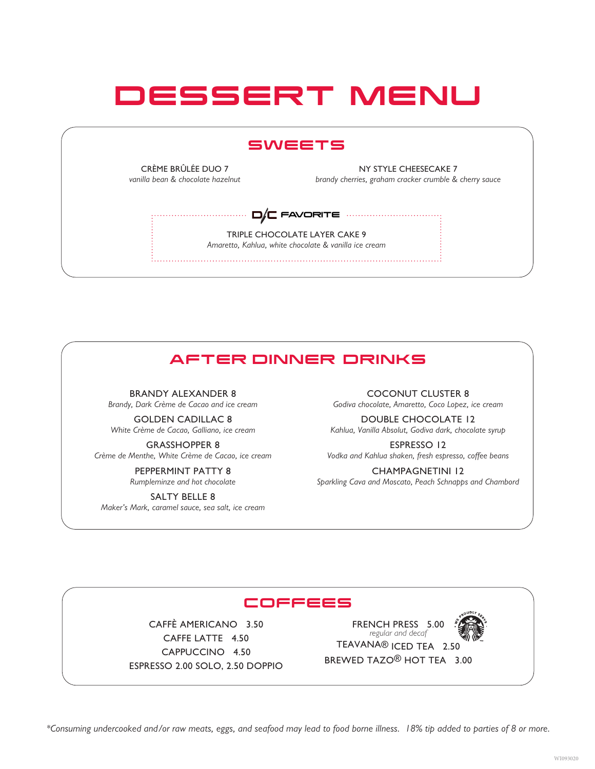# DESSERT MENU

### SWEETS

CRÈME BRÛLÉE DUO 7 *vanilla bean & chocolate hazelnut*

NY STYLE CHEESECAKE 7 *brandy cherries, graham cracker crumble & cherry sauce*

TRIPLE CHOCOLATE LAYER CAKE 9 *Amaretto, Kahlua, white chocolate & vanilla ice cream*  $\square / \square$  FAVORITE  $\cdots$ 

## AFTER DINNER DRINKS

BRANDY ALEXANDER 8 *Brandy, Dark Crème de Cacao and ice cream*

GOLDEN CADILLAC 8 *White Crème de Cacao, Galliano, ice cream*

GRASSHOPPER 8 *Crème de Menthe, White Crème de Cacao, ice cream*

> PEPPERMINT PATTY 8 *Rumpleminze and hot chocolate*

SALTY BELLE 8 *Maker's Mark, caramel sauce, sea salt, ice cream* COCONUT CLUSTER 8

*Godiva chocolate, Amaretto, Coco Lopez, ice cream*

DOUBLE CHOCOLATE 12 *Kahlua, Vanilla Absolut, Godiva dark, chocolate syrup*

ESPRESSO 12 *Vodka and Kahlua shaken, fresh espresso, coffee beans*

CHAMPAGNETINI 12 *Sparkling Cava and Moscato, Peach Schnapps and Chambord*

#### COFFEES

CAFFÈ AMERICANO 3.50 CAFFE LATTE 4.50 CAPPUCCINO 4.50 ESPRESSO 2.00 SOLO, 2.50 DOPPIO

FRENCH PRESS 5.00 *regular and decaf* TEAVANA® ICED TEA 2.50 BREWED TAZO® HOT TEA 3.00